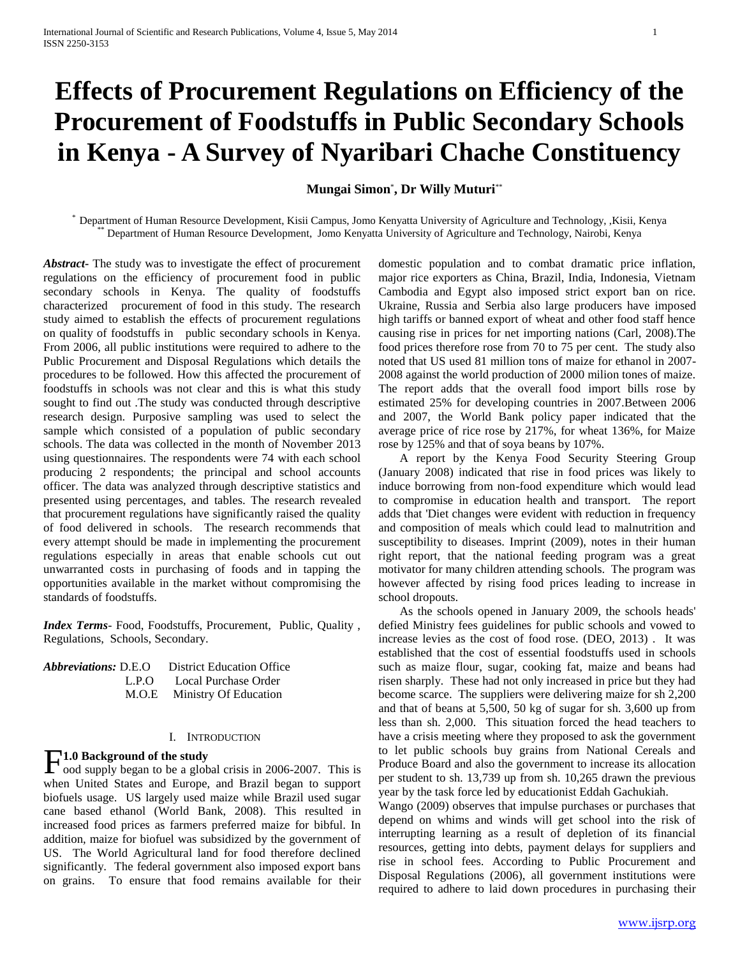# **Effects of Procurement Regulations on Efficiency of the Procurement of Foodstuffs in Public Secondary Schools in Kenya - A Survey of Nyaribari Chache Constituency**

# **Mungai Simon**\* **, Dr Willy Muturi**\*\*

\* Department of Human Resource Development, Kisii Campus, Jomo Kenyatta University of Agriculture and Technology, ,Kisii, Kenya \*\* Department of Human Resource Development, Jomo Kenyatta University of Agriculture and Technology, Nairobi, Kenya

*Abstract***-** The study was to investigate the effect of procurement regulations on the efficiency of procurement food in public secondary schools in Kenya. The quality of foodstuffs characterized procurement of food in this study. The research study aimed to establish the effects of procurement regulations on quality of foodstuffs in public secondary schools in Kenya. From 2006, all public institutions were required to adhere to the Public Procurement and Disposal Regulations which details the procedures to be followed. How this affected the procurement of foodstuffs in schools was not clear and this is what this study sought to find out .The study was conducted through descriptive research design. Purposive sampling was used to select the sample which consisted of a population of public secondary schools. The data was collected in the month of November 2013 using questionnaires. The respondents were 74 with each school producing 2 respondents; the principal and school accounts officer. The data was analyzed through descriptive statistics and presented using percentages, and tables. The research revealed that procurement regulations have significantly raised the quality of food delivered in schools. The research recommends that every attempt should be made in implementing the procurement regulations especially in areas that enable schools cut out unwarranted costs in purchasing of foods and in tapping the opportunities available in the market without compromising the standards of foodstuffs.

*Index Terms*- Food, Foodstuffs, Procurement, Public, Quality , Regulations, Schools, Secondary.

| <i>Abbreviations:</i> D.E.O | <b>District Education Office</b> |
|-----------------------------|----------------------------------|
| L.P.O                       | Local Purchase Order             |
|                             | M.O.E Ministry Of Education      |

### I. INTRODUCTION

# **1.0 Background of the study**

**F1.0 Background of the study**<br>cood supply began to be a global crisis in 2006-2007. This is when United States and Europe, and Brazil began to support biofuels usage. US largely used maize while Brazil used sugar cane based ethanol (World Bank, 2008). This resulted in increased food prices as farmers preferred maize for bibful. In addition, maize for biofuel was subsidized by the government of US. The World Agricultural land for food therefore declined significantly. The federal government also imposed export bans on grains. To ensure that food remains available for their

domestic population and to combat dramatic price inflation, major rice exporters as China, Brazil, India, Indonesia, Vietnam Cambodia and Egypt also imposed strict export ban on rice. Ukraine, Russia and Serbia also large producers have imposed high tariffs or banned export of wheat and other food staff hence causing rise in prices for net importing nations (Carl, 2008).The food prices therefore rose from 70 to 75 per cent. The study also noted that US used 81 million tons of maize for ethanol in 2007- 2008 against the world production of 2000 milion tones of maize. The report adds that the overall food import bills rose by estimated 25% for developing countries in 2007.Between 2006 and 2007, the World Bank policy paper indicated that the average price of rice rose by 217%, for wheat 136%, for Maize rose by 125% and that of soya beans by 107%.

 A report by the Kenya Food Security Steering Group (January 2008) indicated that rise in food prices was likely to induce borrowing from non-food expenditure which would lead to compromise in education health and transport. The report adds that 'Diet changes were evident with reduction in frequency and composition of meals which could lead to malnutrition and susceptibility to diseases. Imprint (2009), notes in their human right report, that the national feeding program was a great motivator for many children attending schools. The program was however affected by rising food prices leading to increase in school dropouts.

 As the schools opened in January 2009, the schools heads' defied Ministry fees guidelines for public schools and vowed to increase levies as the cost of food rose. (DEO, 2013) . It was established that the cost of essential foodstuffs used in schools such as maize flour, sugar, cooking fat, maize and beans had risen sharply. These had not only increased in price but they had become scarce. The suppliers were delivering maize for sh 2,200 and that of beans at 5,500, 50 kg of sugar for sh. 3,600 up from less than sh. 2,000. This situation forced the head teachers to have a crisis meeting where they proposed to ask the government to let public schools buy grains from National Cereals and Produce Board and also the government to increase its allocation per student to sh. 13,739 up from sh. 10,265 drawn the previous year by the task force led by educationist Eddah Gachukiah.

Wango (2009) observes that impulse purchases or purchases that depend on whims and winds will get school into the risk of interrupting learning as a result of depletion of its financial resources, getting into debts, payment delays for suppliers and rise in school fees. According to Public Procurement and Disposal Regulations (2006), all government institutions were required to adhere to laid down procedures in purchasing their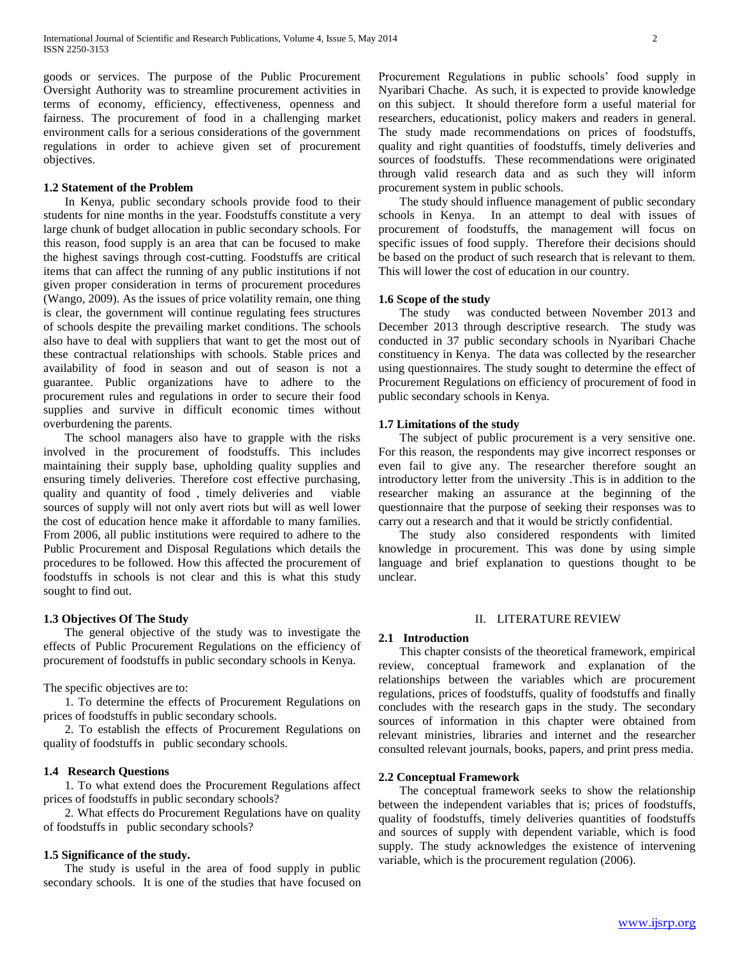goods or services. The purpose of the Public Procurement Oversight Authority was to streamline procurement activities in terms of economy, efficiency, effectiveness, openness and fairness. The procurement of food in a challenging market environment calls for a serious considerations of the government regulations in order to achieve given set of procurement objectives.

### **1.2 Statement of the Problem**

 In Kenya, public secondary schools provide food to their students for nine months in the year. Foodstuffs constitute a very large chunk of budget allocation in public secondary schools. For this reason, food supply is an area that can be focused to make the highest savings through cost-cutting. Foodstuffs are critical items that can affect the running of any public institutions if not given proper consideration in terms of procurement procedures (Wango, 2009). As the issues of price volatility remain, one thing is clear, the government will continue regulating fees structures of schools despite the prevailing market conditions. The schools also have to deal with suppliers that want to get the most out of these contractual relationships with schools. Stable prices and availability of food in season and out of season is not a guarantee. Public organizations have to adhere to the procurement rules and regulations in order to secure their food supplies and survive in difficult economic times without overburdening the parents.

 The school managers also have to grapple with the risks involved in the procurement of foodstuffs. This includes maintaining their supply base, upholding quality supplies and ensuring timely deliveries. Therefore cost effective purchasing, quality and quantity of food , timely deliveries and viable sources of supply will not only avert riots but will as well lower the cost of education hence make it affordable to many families. From 2006, all public institutions were required to adhere to the Public Procurement and Disposal Regulations which details the procedures to be followed. How this affected the procurement of foodstuffs in schools is not clear and this is what this study sought to find out.

### **1.3 Objectives Of The Study**

 The general objective of the study was to investigate the effects of Public Procurement Regulations on the efficiency of procurement of foodstuffs in public secondary schools in Kenya.

The specific objectives are to:

 1. To determine the effects of Procurement Regulations on prices of foodstuffs in public secondary schools.

 2. To establish the effects of Procurement Regulations on quality of foodstuffs in public secondary schools.

### **1.4 Research Questions**

 1. To what extend does the Procurement Regulations affect prices of foodstuffs in public secondary schools?

 2. What effects do Procurement Regulations have on quality of foodstuffs in public secondary schools?

### **1.5 Significance of the study.**

 The study is useful in the area of food supply in public secondary schools. It is one of the studies that have focused on Procurement Regulations in public schools' food supply in Nyaribari Chache. As such, it is expected to provide knowledge on this subject. It should therefore form a useful material for researchers, educationist, policy makers and readers in general. The study made recommendations on prices of foodstuffs, quality and right quantities of foodstuffs, timely deliveries and sources of foodstuffs. These recommendations were originated through valid research data and as such they will inform procurement system in public schools.

 The study should influence management of public secondary schools in Kenya. In an attempt to deal with issues of procurement of foodstuffs, the management will focus on specific issues of food supply. Therefore their decisions should be based on the product of such research that is relevant to them. This will lower the cost of education in our country.

### **1.6 Scope of the study**

 The study was conducted between November 2013 and December 2013 through descriptive research. The study was conducted in 37 public secondary schools in Nyaribari Chache constituency in Kenya. The data was collected by the researcher using questionnaires. The study sought to determine the effect of Procurement Regulations on efficiency of procurement of food in public secondary schools in Kenya.

# **1.7 Limitations of the study**

 The subject of public procurement is a very sensitive one. For this reason, the respondents may give incorrect responses or even fail to give any. The researcher therefore sought an introductory letter from the university .This is in addition to the researcher making an assurance at the beginning of the questionnaire that the purpose of seeking their responses was to carry out a research and that it would be strictly confidential.

 The study also considered respondents with limited knowledge in procurement. This was done by using simple language and brief explanation to questions thought to be unclear.

### II. LITERATURE REVIEW

### **2.1 Introduction**

 This chapter consists of the theoretical framework, empirical review, conceptual framework and explanation of the relationships between the variables which are procurement regulations, prices of foodstuffs, quality of foodstuffs and finally concludes with the research gaps in the study. The secondary sources of information in this chapter were obtained from relevant ministries, libraries and internet and the researcher consulted relevant journals, books, papers, and print press media.

### **2.2 Conceptual Framework**

 The conceptual framework seeks to show the relationship between the independent variables that is; prices of foodstuffs, quality of foodstuffs, timely deliveries quantities of foodstuffs and sources of supply with dependent variable, which is food supply. The study acknowledges the existence of intervening variable, which is the procurement regulation (2006).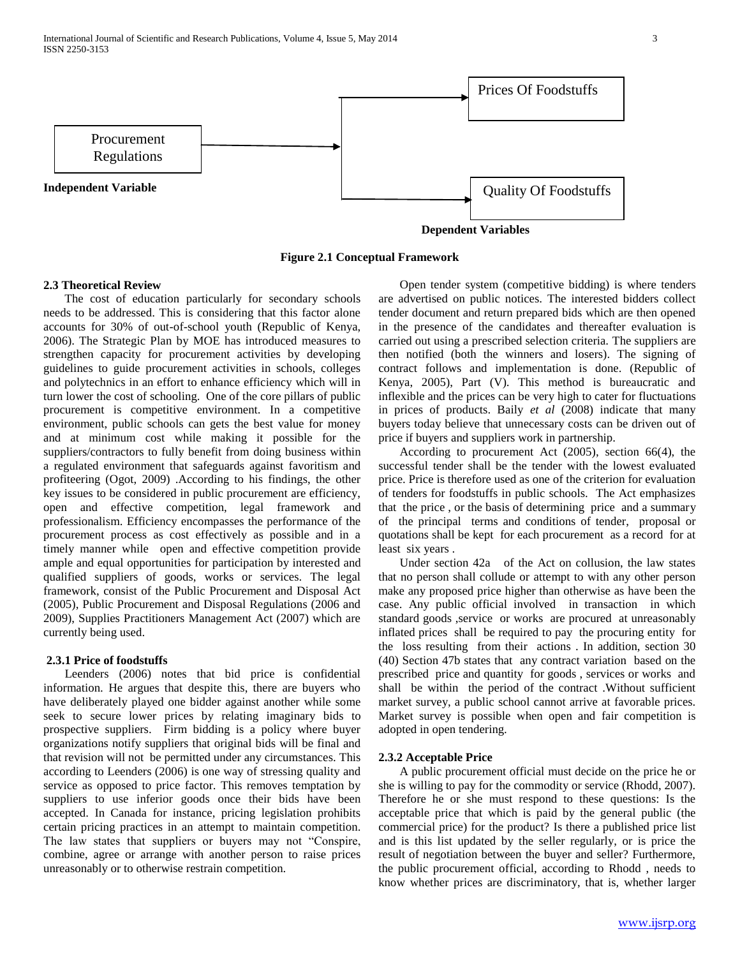

**Figure 2.1 Conceptual Framework**

### **2.3 Theoretical Review**

 The cost of education particularly for secondary schools needs to be addressed. This is considering that this factor alone accounts for 30% of out-of-school youth (Republic of Kenya, 2006). The Strategic Plan by MOE has introduced measures to strengthen capacity for procurement activities by developing guidelines to guide procurement activities in schools, colleges and polytechnics in an effort to enhance efficiency which will in turn lower the cost of schooling. One of the core pillars of public procurement is competitive environment. In a competitive environment, public schools can gets the best value for money and at minimum cost while making it possible for the suppliers/contractors to fully benefit from doing business within a regulated environment that safeguards against favoritism and profiteering (Ogot, 2009) .According to his findings, the other key issues to be considered in public procurement are efficiency, open and effective competition, legal framework and professionalism. Efficiency encompasses the performance of the procurement process as cost effectively as possible and in a timely manner while open and effective competition provide ample and equal opportunities for participation by interested and qualified suppliers of goods, works or services. The legal framework, consist of the Public Procurement and Disposal Act (2005), Public Procurement and Disposal Regulations (2006 and 2009), Supplies Practitioners Management Act (2007) which are currently being used.

### **2.3.1 Price of foodstuffs**

 Leenders (2006) notes that bid price is confidential information. He argues that despite this, there are buyers who have deliberately played one bidder against another while some seek to secure lower prices by relating imaginary bids to prospective suppliers. Firm bidding is a policy where buyer organizations notify suppliers that original bids will be final and that revision will not be permitted under any circumstances. This according to Leenders (2006) is one way of stressing quality and service as opposed to price factor. This removes temptation by suppliers to use inferior goods once their bids have been accepted. In Canada for instance, pricing legislation prohibits certain pricing practices in an attempt to maintain competition. The law states that suppliers or buyers may not "Conspire, combine, agree or arrange with another person to raise prices unreasonably or to otherwise restrain competition.

 Open tender system (competitive bidding) is where tenders are advertised on public notices. The interested bidders collect tender document and return prepared bids which are then opened in the presence of the candidates and thereafter evaluation is carried out using a prescribed selection criteria. The suppliers are then notified (both the winners and losers). The signing of contract follows and implementation is done. (Republic of Kenya, 2005), Part (V). This method is bureaucratic and inflexible and the prices can be very high to cater for fluctuations in prices of products. Baily *et al* (2008) indicate that many buyers today believe that unnecessary costs can be driven out of price if buyers and suppliers work in partnership.

 According to procurement Act (2005), section 66(4), the successful tender shall be the tender with the lowest evaluated price. Price is therefore used as one of the criterion for evaluation of tenders for foodstuffs in public schools. The Act emphasizes that the price , or the basis of determining price and a summary of the principal terms and conditions of tender, proposal or quotations shall be kept for each procurement as a record for at least six years .

 Under section 42a of the Act on collusion, the law states that no person shall collude or attempt to with any other person make any proposed price higher than otherwise as have been the case. Any public official involved in transaction in which standard goods ,service or works are procured at unreasonably inflated prices shall be required to pay the procuring entity for the loss resulting from their actions . In addition, section 30 (40) Section 47b states that any contract variation based on the prescribed price and quantity for goods , services or works and shall be within the period of the contract .Without sufficient market survey, a public school cannot arrive at favorable prices. Market survey is possible when open and fair competition is adopted in open tendering.

### **2.3.2 Acceptable Price**

 A public procurement official must decide on the price he or she is willing to pay for the commodity or service (Rhodd, 2007). Therefore he or she must respond to these questions: Is the acceptable price that which is paid by the general public (the commercial price) for the product? Is there a published price list and is this list updated by the seller regularly, or is price the result of negotiation between the buyer and seller? Furthermore, the public procurement official, according to Rhodd , needs to know whether prices are discriminatory, that is, whether larger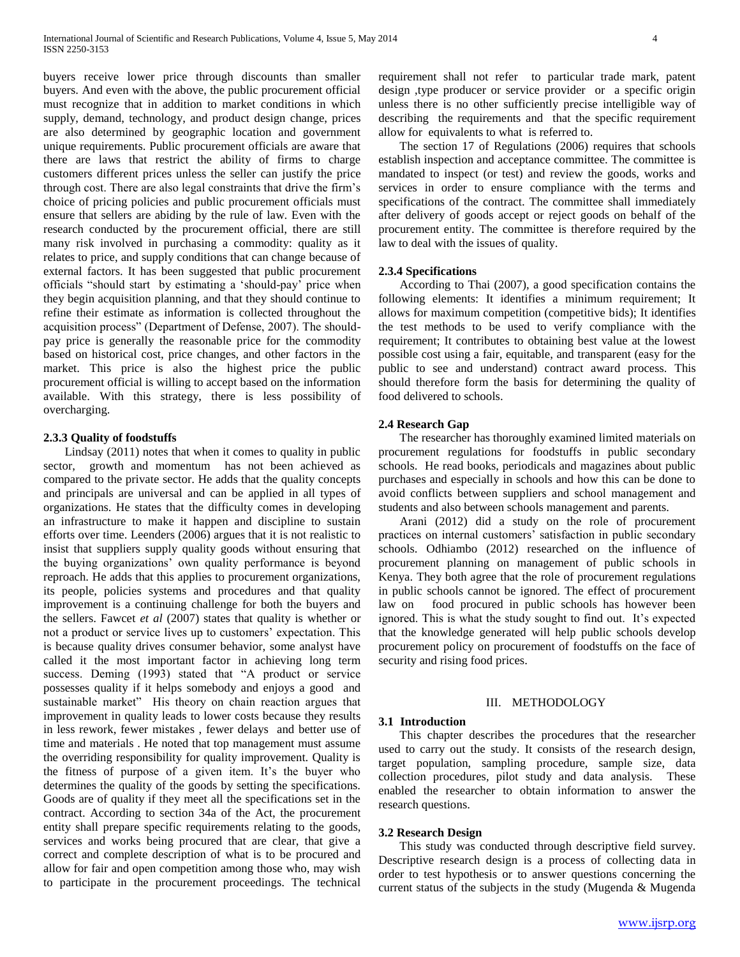buyers receive lower price through discounts than smaller buyers. And even with the above, the public procurement official must recognize that in addition to market conditions in which supply, demand, technology, and product design change, prices are also determined by geographic location and government unique requirements. Public procurement officials are aware that there are laws that restrict the ability of firms to charge customers different prices unless the seller can justify the price through cost. There are also legal constraints that drive the firm's choice of pricing policies and public procurement officials must ensure that sellers are abiding by the rule of law. Even with the research conducted by the procurement official, there are still many risk involved in purchasing a commodity: quality as it relates to price, and supply conditions that can change because of external factors. It has been suggested that public procurement officials "should start by estimating a 'should-pay' price when they begin acquisition planning, and that they should continue to refine their estimate as information is collected throughout the acquisition process" (Department of Defense, 2007). The shouldpay price is generally the reasonable price for the commodity based on historical cost, price changes, and other factors in the market. This price is also the highest price the public procurement official is willing to accept based on the information available. With this strategy, there is less possibility of overcharging.

# **2.3.3 Quality of foodstuffs**

 Lindsay (2011) notes that when it comes to quality in public sector, growth and momentum has not been achieved as compared to the private sector. He adds that the quality concepts and principals are universal and can be applied in all types of organizations. He states that the difficulty comes in developing an infrastructure to make it happen and discipline to sustain efforts over time. Leenders (2006) argues that it is not realistic to insist that suppliers supply quality goods without ensuring that the buying organizations' own quality performance is beyond reproach. He adds that this applies to procurement organizations, its people, policies systems and procedures and that quality improvement is a continuing challenge for both the buyers and the sellers. Fawcet *et al* (2007) states that quality is whether or not a product or service lives up to customers' expectation. This is because quality drives consumer behavior, some analyst have called it the most important factor in achieving long term success. Deming (1993) stated that "A product or service possesses quality if it helps somebody and enjoys a good and sustainable market" His theory on chain reaction argues that improvement in quality leads to lower costs because they results in less rework, fewer mistakes , fewer delays and better use of time and materials . He noted that top management must assume the overriding responsibility for quality improvement. Quality is the fitness of purpose of a given item. It's the buyer who determines the quality of the goods by setting the specifications. Goods are of quality if they meet all the specifications set in the contract. According to section 34a of the Act, the procurement entity shall prepare specific requirements relating to the goods, services and works being procured that are clear, that give a correct and complete description of what is to be procured and allow for fair and open competition among those who, may wish to participate in the procurement proceedings. The technical requirement shall not refer to particular trade mark, patent design ,type producer or service provider or a specific origin unless there is no other sufficiently precise intelligible way of describing the requirements and that the specific requirement allow for equivalents to what is referred to.

 The section 17 of Regulations (2006) requires that schools establish inspection and acceptance committee. The committee is mandated to inspect (or test) and review the goods, works and services in order to ensure compliance with the terms and specifications of the contract. The committee shall immediately after delivery of goods accept or reject goods on behalf of the procurement entity. The committee is therefore required by the law to deal with the issues of quality.

### **2.3.4 Specifications**

 According to Thai (2007), a good specification contains the following elements: It identifies a minimum requirement; It allows for maximum competition (competitive bids); It identifies the test methods to be used to verify compliance with the requirement; It contributes to obtaining best value at the lowest possible cost using a fair, equitable, and transparent (easy for the public to see and understand) contract award process. This should therefore form the basis for determining the quality of food delivered to schools.

### **2.4 Research Gap**

 The researcher has thoroughly examined limited materials on procurement regulations for foodstuffs in public secondary schools. He read books, periodicals and magazines about public purchases and especially in schools and how this can be done to avoid conflicts between suppliers and school management and students and also between schools management and parents.

 Arani (2012) did a study on the role of procurement practices on internal customers' satisfaction in public secondary schools. Odhiambo (2012) researched on the influence of procurement planning on management of public schools in Kenya. They both agree that the role of procurement regulations in public schools cannot be ignored. The effect of procurement law on food procured in public schools has however been ignored. This is what the study sought to find out. It's expected that the knowledge generated will help public schools develop procurement policy on procurement of foodstuffs on the face of security and rising food prices.

# III. METHODOLOGY

# **3.1 Introduction**

 This chapter describes the procedures that the researcher used to carry out the study. It consists of the research design, target population, sampling procedure, sample size, data collection procedures, pilot study and data analysis. These enabled the researcher to obtain information to answer the research questions.

### **3.2 Research Design**

 This study was conducted through descriptive field survey. Descriptive research design is a process of collecting data in order to test hypothesis or to answer questions concerning the current status of the subjects in the study (Mugenda & Mugenda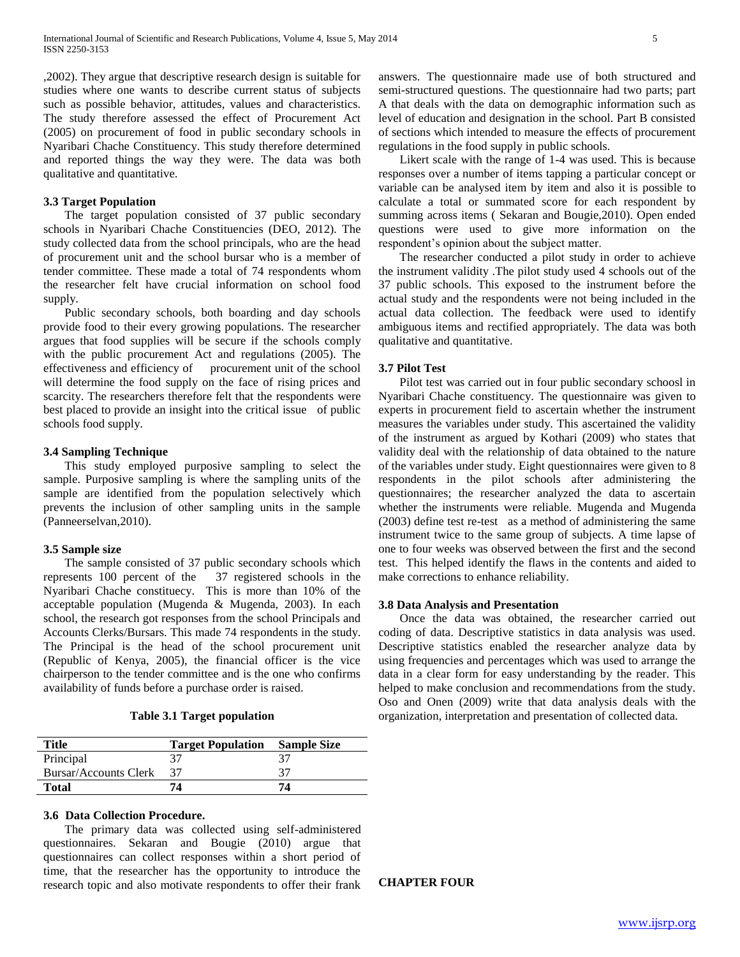,2002). They argue that descriptive research design is suitable for studies where one wants to describe current status of subjects such as possible behavior, attitudes, values and characteristics. The study therefore assessed the effect of Procurement Act (2005) on procurement of food in public secondary schools in Nyaribari Chache Constituency. This study therefore determined and reported things the way they were. The data was both qualitative and quantitative.

### **3.3 Target Population**

 The target population consisted of 37 public secondary schools in Nyaribari Chache Constituencies (DEO, 2012). The study collected data from the school principals, who are the head of procurement unit and the school bursar who is a member of tender committee. These made a total of 74 respondents whom the researcher felt have crucial information on school food supply.

 Public secondary schools, both boarding and day schools provide food to their every growing populations. The researcher argues that food supplies will be secure if the schools comply with the public procurement Act and regulations (2005). The effectiveness and efficiency of procurement unit of the school will determine the food supply on the face of rising prices and scarcity. The researchers therefore felt that the respondents were best placed to provide an insight into the critical issue of public schools food supply.

### **3.4 Sampling Technique**

 This study employed purposive sampling to select the sample. Purposive sampling is where the sampling units of the sample are identified from the population selectively which prevents the inclusion of other sampling units in the sample (Panneerselvan,2010).

### **3.5 Sample size**

 The sample consisted of 37 public secondary schools which represents 100 percent of the 37 registered schools in the Nyaribari Chache constituecy. This is more than 10% of the acceptable population (Mugenda & Mugenda, 2003). In each school, the research got responses from the school Principals and Accounts Clerks/Bursars. This made 74 respondents in the study. The Principal is the head of the school procurement unit (Republic of Kenya, 2005), the financial officer is the vice chairperson to the tender committee and is the one who confirms availability of funds before a purchase order is raised.

# **Table 3.1 Target population**

| Title                 | <b>Target Population</b> | <b>Sample Size</b> |
|-----------------------|--------------------------|--------------------|
| Principal             |                          |                    |
| Bursar/Accounts Clerk |                          |                    |
| <b>Total</b>          | 74                       | 74                 |

### **3.6 Data Collection Procedure.**

 The primary data was collected using self-administered questionnaires. Sekaran and Bougie (2010) argue that questionnaires can collect responses within a short period of time, that the researcher has the opportunity to introduce the research topic and also motivate respondents to offer their frank answers. The questionnaire made use of both structured and semi-structured questions. The questionnaire had two parts; part A that deals with the data on demographic information such as level of education and designation in the school. Part B consisted of sections which intended to measure the effects of procurement regulations in the food supply in public schools.

 Likert scale with the range of 1-4 was used. This is because responses over a number of items tapping a particular concept or variable can be analysed item by item and also it is possible to calculate a total or summated score for each respondent by summing across items ( Sekaran and Bougie,2010). Open ended questions were used to give more information on the respondent's opinion about the subject matter.

 The researcher conducted a pilot study in order to achieve the instrument validity .The pilot study used 4 schools out of the 37 public schools. This exposed to the instrument before the actual study and the respondents were not being included in the actual data collection. The feedback were used to identify ambiguous items and rectified appropriately. The data was both qualitative and quantitative.

# **3.7 Pilot Test**

 Pilot test was carried out in four public secondary schoosl in Nyaribari Chache constituency. The questionnaire was given to experts in procurement field to ascertain whether the instrument measures the variables under study. This ascertained the validity of the instrument as argued by Kothari (2009) who states that validity deal with the relationship of data obtained to the nature of the variables under study. Eight questionnaires were given to 8 respondents in the pilot schools after administering the questionnaires; the researcher analyzed the data to ascertain whether the instruments were reliable. Mugenda and Mugenda (2003) define test re-test as a method of administering the same instrument twice to the same group of subjects. A time lapse of one to four weeks was observed between the first and the second test. This helped identify the flaws in the contents and aided to make corrections to enhance reliability.

### **3.8 Data Analysis and Presentation**

 Once the data was obtained, the researcher carried out coding of data. Descriptive statistics in data analysis was used. Descriptive statistics enabled the researcher analyze data by using frequencies and percentages which was used to arrange the data in a clear form for easy understanding by the reader. This helped to make conclusion and recommendations from the study. Oso and Onen (2009) write that data analysis deals with the organization, interpretation and presentation of collected data.

### **CHAPTER FOUR**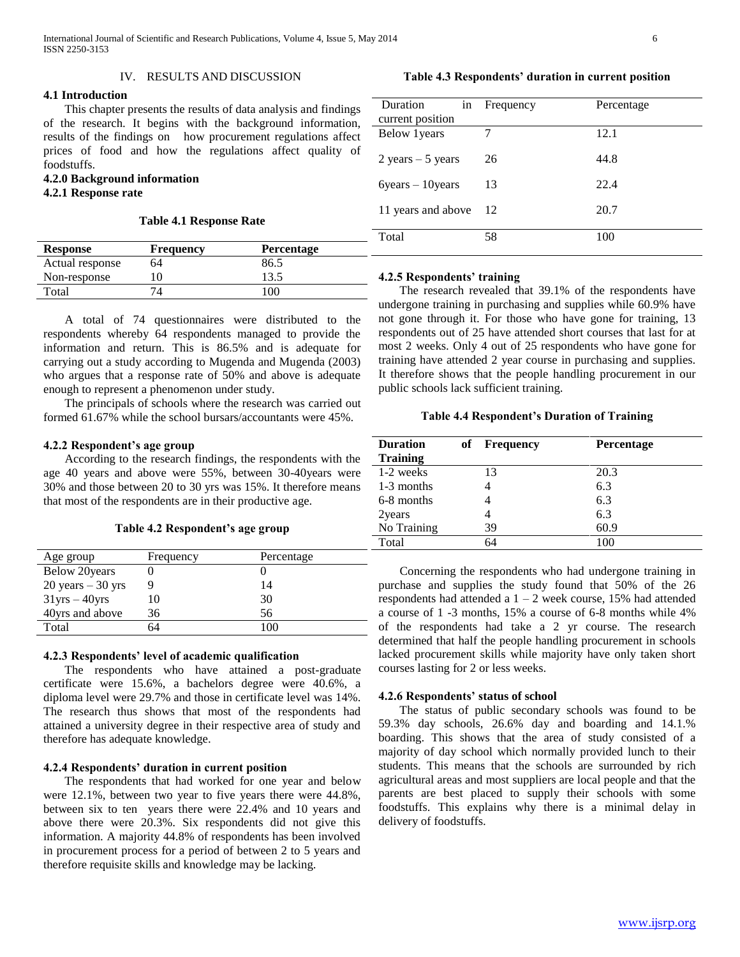### IV. RESULTS AND DISCUSSION

# **4.1 Introduction**

 This chapter presents the results of data analysis and findings of the research. It begins with the background information, results of the findings on how procurement regulations affect prices of food and how the regulations affect quality of foodstuffs.

# **4.2.0 Background information**

# **4.2.1 Response rate**

# **Table 4.1 Response Rate**

| <b>Response</b> | <b>Frequency</b> | <b>Percentage</b> |  |
|-----------------|------------------|-------------------|--|
| Actual response | 64               | 86.5              |  |
| Non-response    |                  | 13.5              |  |
| Total           |                  | 100               |  |

| Duration<br>in                      | Frequency | Percentage |
|-------------------------------------|-----------|------------|
| current position                    |           |            |
| Below 1 years                       | 7         | 12.1       |
| $2 \text{ years} - 5 \text{ years}$ | 26        | 44.8       |
| $6 \text{years} - 10 \text{years}$  | 13        | 22.4       |
| 11 years and above                  | - 12      | 20.7       |
| Total                               | 58        | 100        |

### **4.2.5 Respondents' training**

 A total of 74 questionnaires were distributed to the respondents whereby 64 respondents managed to provide the information and return. This is 86.5% and is adequate for carrying out a study according to Mugenda and Mugenda (2003) who argues that a response rate of 50% and above is adequate enough to represent a phenomenon under study.

 The principals of schools where the research was carried out formed 61.67% while the school bursars/accountants were 45%.

### **4.2.2 Respondent's age group**

 According to the research findings, the respondents with the age 40 years and above were 55%, between 30-40years were 30% and those between 20 to 30 yrs was 15%. It therefore means that most of the respondents are in their productive age.

|  | Table 4.2 Respondent's age group |  |  |
|--|----------------------------------|--|--|
|  |                                  |  |  |

| Age group            | Frequency | Percentage |
|----------------------|-----------|------------|
| <b>Below 20years</b> |           |            |
| $20$ years $-30$ yrs |           | 14         |
| $31$ yrs $-40$ yrs   | 10        | 30         |
| 40yrs and above      | 36        | 56         |
| Total                | 54        | 100        |
|                      |           |            |

### **4.2.3 Respondents' level of academic qualification**

 The respondents who have attained a post-graduate certificate were 15.6%, a bachelors degree were 40.6%, a diploma level were 29.7% and those in certificate level was 14%. The research thus shows that most of the respondents had attained a university degree in their respective area of study and therefore has adequate knowledge.

### **4.2.4 Respondents' duration in current position**

 The respondents that had worked for one year and below were 12.1%, between two year to five years there were 44.8%, between six to ten years there were 22.4% and 10 years and above there were 20.3%. Six respondents did not give this information. A majority 44.8% of respondents has been involved in procurement process for a period of between 2 to 5 years and therefore requisite skills and knowledge may be lacking.

 The research revealed that 39.1% of the respondents have undergone training in purchasing and supplies while 60.9% have not gone through it. For those who have gone for training, 13 respondents out of 25 have attended short courses that last for at most 2 weeks. Only 4 out of 25 respondents who have gone for training have attended 2 year course in purchasing and supplies. It therefore shows that the people handling procurement in our public schools lack sufficient training.

### **Table 4.4 Respondent's Duration of Training**

| <b>Duration</b><br><b>Training</b> | of Frequency | <b>Percentage</b> |
|------------------------------------|--------------|-------------------|
| 1-2 weeks                          | 13           | 20.3              |
| 1-3 months                         | 4            | 6.3               |
| 6-8 months                         | 4            | 6.3               |
| 2years                             |              | 6.3               |
| No Training                        | 39           | 60.9              |
| Total                              |              | 100               |

 Concerning the respondents who had undergone training in purchase and supplies the study found that 50% of the 26 respondents had attended a 1 – 2 week course, 15% had attended a course of 1 -3 months, 15% a course of 6-8 months while 4% of the respondents had take a 2 yr course. The research determined that half the people handling procurement in schools lacked procurement skills while majority have only taken short courses lasting for 2 or less weeks.

### **4.2.6 Respondents' status of school**

 The status of public secondary schools was found to be 59.3% day schools, 26.6% day and boarding and 14.1.% boarding. This shows that the area of study consisted of a majority of day school which normally provided lunch to their students. This means that the schools are surrounded by rich agricultural areas and most suppliers are local people and that the parents are best placed to supply their schools with some foodstuffs. This explains why there is a minimal delay in delivery of foodstuffs.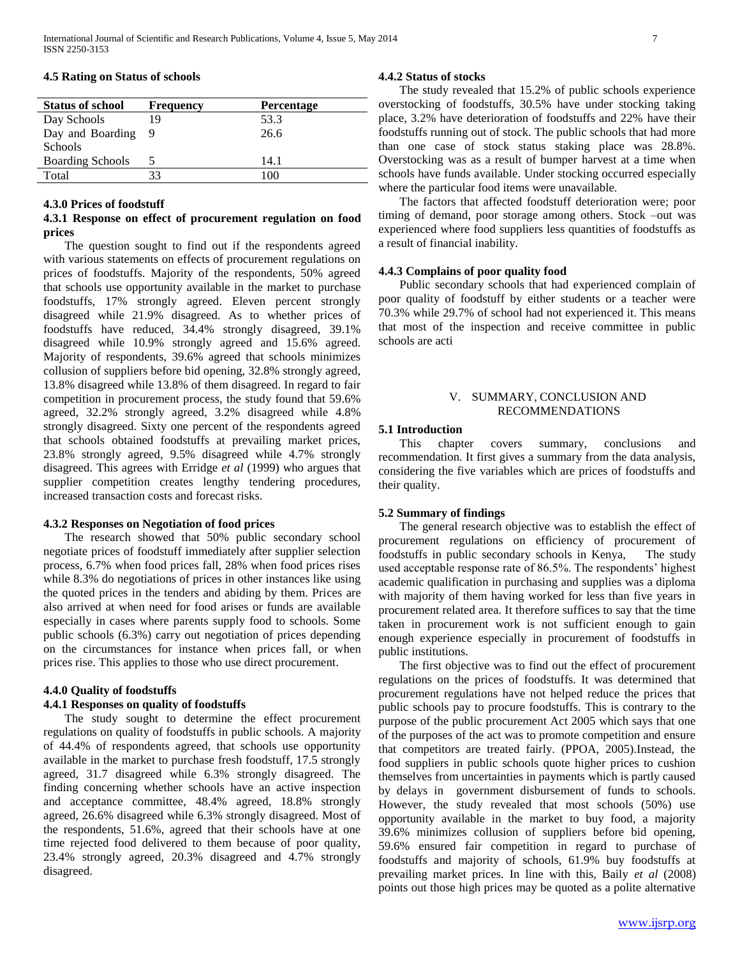| <b>Status of school</b> | <b>Frequency</b> | <b>Percentage</b> |  |
|-------------------------|------------------|-------------------|--|
| Day Schools             | 19               | 53.3              |  |
| Day and Boarding        |                  | 26.6              |  |
| <b>Schools</b>          |                  |                   |  |
| <b>Boarding Schools</b> |                  | 14.1              |  |
| Total                   | 33               | 100               |  |

### **4.5 Rating on Status of schools**

### **4.3.0 Prices of foodstuff**

# **4.3.1 Response on effect of procurement regulation on food prices**

 The question sought to find out if the respondents agreed with various statements on effects of procurement regulations on prices of foodstuffs. Majority of the respondents, 50% agreed that schools use opportunity available in the market to purchase foodstuffs, 17% strongly agreed. Eleven percent strongly disagreed while 21.9% disagreed. As to whether prices of foodstuffs have reduced, 34.4% strongly disagreed, 39.1% disagreed while 10.9% strongly agreed and 15.6% agreed. Majority of respondents, 39.6% agreed that schools minimizes collusion of suppliers before bid opening, 32.8% strongly agreed, 13.8% disagreed while 13.8% of them disagreed. In regard to fair competition in procurement process, the study found that 59.6% agreed, 32.2% strongly agreed, 3.2% disagreed while 4.8% strongly disagreed. Sixty one percent of the respondents agreed that schools obtained foodstuffs at prevailing market prices, 23.8% strongly agreed, 9.5% disagreed while 4.7% strongly disagreed. This agrees with Erridge *et al* (1999) who argues that supplier competition creates lengthy tendering procedures, increased transaction costs and forecast risks.

### **4.3.2 Responses on Negotiation of food prices**

 The research showed that 50% public secondary school negotiate prices of foodstuff immediately after supplier selection process, 6.7% when food prices fall, 28% when food prices rises while 8.3% do negotiations of prices in other instances like using the quoted prices in the tenders and abiding by them. Prices are also arrived at when need for food arises or funds are available especially in cases where parents supply food to schools. Some public schools (6.3%) carry out negotiation of prices depending on the circumstances for instance when prices fall, or when prices rise. This applies to those who use direct procurement.

# **4.4.0 Quality of foodstuffs**

# **4.4.1 Responses on quality of foodstuffs**

 The study sought to determine the effect procurement regulations on quality of foodstuffs in public schools. A majority of 44.4% of respondents agreed, that schools use opportunity available in the market to purchase fresh foodstuff, 17.5 strongly agreed, 31.7 disagreed while 6.3% strongly disagreed. The finding concerning whether schools have an active inspection and acceptance committee, 48.4% agreed, 18.8% strongly agreed, 26.6% disagreed while 6.3% strongly disagreed. Most of the respondents, 51.6%, agreed that their schools have at one time rejected food delivered to them because of poor quality, 23.4% strongly agreed, 20.3% disagreed and 4.7% strongly disagreed.

### **4.4.2 Status of stocks**

 The study revealed that 15.2% of public schools experience overstocking of foodstuffs, 30.5% have under stocking taking place, 3.2% have deterioration of foodstuffs and 22% have their foodstuffs running out of stock. The public schools that had more than one case of stock status staking place was 28.8%. Overstocking was as a result of bumper harvest at a time when schools have funds available. Under stocking occurred especially where the particular food items were unavailable.

 The factors that affected foodstuff deterioration were; poor timing of demand, poor storage among others. Stock –out was experienced where food suppliers less quantities of foodstuffs as a result of financial inability.

# **4.4.3 Complains of poor quality food**

 Public secondary schools that had experienced complain of poor quality of foodstuff by either students or a teacher were 70.3% while 29.7% of school had not experienced it. This means that most of the inspection and receive committee in public schools are acti

# V. SUMMARY, CONCLUSION AND RECOMMENDATIONS

### **5.1 Introduction**

 This chapter covers summary, conclusions and recommendation. It first gives a summary from the data analysis, considering the five variables which are prices of foodstuffs and their quality.

### **5.2 Summary of findings**

 The general research objective was to establish the effect of procurement regulations on efficiency of procurement of foodstuffs in public secondary schools in Kenya, The study used acceptable response rate of 86.5%. The respondents' highest academic qualification in purchasing and supplies was a diploma with majority of them having worked for less than five years in procurement related area. It therefore suffices to say that the time taken in procurement work is not sufficient enough to gain enough experience especially in procurement of foodstuffs in public institutions.

 The first objective was to find out the effect of procurement regulations on the prices of foodstuffs. It was determined that procurement regulations have not helped reduce the prices that public schools pay to procure foodstuffs. This is contrary to the purpose of the public procurement Act 2005 which says that one of the purposes of the act was to promote competition and ensure that competitors are treated fairly. (PPOA, 2005).Instead, the food suppliers in public schools quote higher prices to cushion themselves from uncertainties in payments which is partly caused by delays in government disbursement of funds to schools. However, the study revealed that most schools (50%) use opportunity available in the market to buy food, a majority 39.6% minimizes collusion of suppliers before bid opening, 59.6% ensured fair competition in regard to purchase of foodstuffs and majority of schools, 61.9% buy foodstuffs at prevailing market prices. In line with this, Baily *et al* (2008) points out those high prices may be quoted as a polite alternative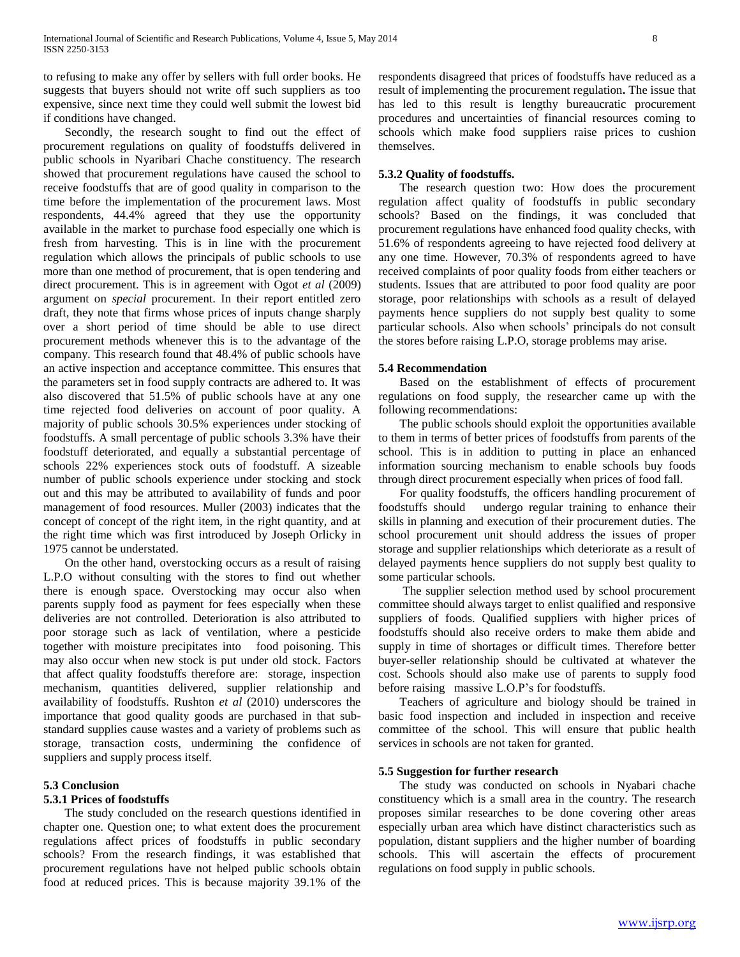to refusing to make any offer by sellers with full order books. He suggests that buyers should not write off such suppliers as too expensive, since next time they could well submit the lowest bid if conditions have changed.

 Secondly, the research sought to find out the effect of procurement regulations on quality of foodstuffs delivered in public schools in Nyaribari Chache constituency. The research showed that procurement regulations have caused the school to receive foodstuffs that are of good quality in comparison to the time before the implementation of the procurement laws. Most respondents, 44.4% agreed that they use the opportunity available in the market to purchase food especially one which is fresh from harvesting. This is in line with the procurement regulation which allows the principals of public schools to use more than one method of procurement, that is open tendering and direct procurement. This is in agreement with Ogot *et al* (2009) argument on *special* procurement. In their report entitled zero draft, they note that firms whose prices of inputs change sharply over a short period of time should be able to use direct procurement methods whenever this is to the advantage of the company. This research found that 48.4% of public schools have an active inspection and acceptance committee. This ensures that the parameters set in food supply contracts are adhered to. It was also discovered that 51.5% of public schools have at any one time rejected food deliveries on account of poor quality. A majority of public schools 30.5% experiences under stocking of foodstuffs. A small percentage of public schools 3.3% have their foodstuff deteriorated, and equally a substantial percentage of schools 22% experiences stock outs of foodstuff. A sizeable number of public schools experience under stocking and stock out and this may be attributed to availability of funds and poor management of food resources. Muller (2003) indicates that the concept of concept of the right item, in the right quantity, and at the right time which was first introduced by Joseph Orlicky in 1975 cannot be understated.

 On the other hand, overstocking occurs as a result of raising L.P.O without consulting with the stores to find out whether there is enough space. Overstocking may occur also when parents supply food as payment for fees especially when these deliveries are not controlled. Deterioration is also attributed to poor storage such as lack of ventilation, where a pesticide together with moisture precipitates into food poisoning. This may also occur when new stock is put under old stock. Factors that affect quality foodstuffs therefore are: storage, inspection mechanism, quantities delivered, supplier relationship and availability of foodstuffs. Rushton *et al* (2010) underscores the importance that good quality goods are purchased in that substandard supplies cause wastes and a variety of problems such as storage, transaction costs, undermining the confidence of suppliers and supply process itself.

### **5.3 Conclusion**

# **5.3.1 Prices of foodstuffs**

 The study concluded on the research questions identified in chapter one. Question one; to what extent does the procurement regulations affect prices of foodstuffs in public secondary schools? From the research findings, it was established that procurement regulations have not helped public schools obtain food at reduced prices. This is because majority 39.1% of the

respondents disagreed that prices of foodstuffs have reduced as a result of implementing the procurement regulation**.** The issue that has led to this result is lengthy bureaucratic procurement procedures and uncertainties of financial resources coming to schools which make food suppliers raise prices to cushion themselves.

# **5.3.2 Quality of foodstuffs.**

 The research question two: How does the procurement regulation affect quality of foodstuffs in public secondary schools? Based on the findings, it was concluded that procurement regulations have enhanced food quality checks, with 51.6% of respondents agreeing to have rejected food delivery at any one time. However, 70.3% of respondents agreed to have received complaints of poor quality foods from either teachers or students. Issues that are attributed to poor food quality are poor storage, poor relationships with schools as a result of delayed payments hence suppliers do not supply best quality to some particular schools. Also when schools' principals do not consult the stores before raising L.P.O, storage problems may arise.

### **5.4 Recommendation**

 Based on the establishment of effects of procurement regulations on food supply, the researcher came up with the following recommendations:

 The public schools should exploit the opportunities available to them in terms of better prices of foodstuffs from parents of the school. This is in addition to putting in place an enhanced information sourcing mechanism to enable schools buy foods through direct procurement especially when prices of food fall.

 For quality foodstuffs, the officers handling procurement of foodstuffs should undergo regular training to enhance their skills in planning and execution of their procurement duties. The school procurement unit should address the issues of proper storage and supplier relationships which deteriorate as a result of delayed payments hence suppliers do not supply best quality to some particular schools.

 The supplier selection method used by school procurement committee should always target to enlist qualified and responsive suppliers of foods. Qualified suppliers with higher prices of foodstuffs should also receive orders to make them abide and supply in time of shortages or difficult times. Therefore better buyer-seller relationship should be cultivated at whatever the cost. Schools should also make use of parents to supply food before raising massive L.O.P's for foodstuffs.

 Teachers of agriculture and biology should be trained in basic food inspection and included in inspection and receive committee of the school. This will ensure that public health services in schools are not taken for granted.

### **5.5 Suggestion for further research**

 The study was conducted on schools in Nyabari chache constituency which is a small area in the country. The research proposes similar researches to be done covering other areas especially urban area which have distinct characteristics such as population, distant suppliers and the higher number of boarding schools. This will ascertain the effects of procurement regulations on food supply in public schools.